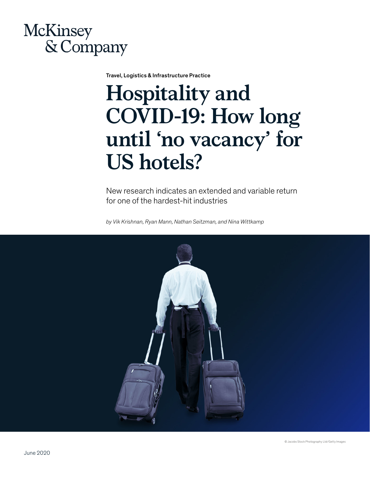

Travel, Logistics & Infrastructure Practice

# **Hospitality and COVID-19: How long until 'no vacancy' for US hotels?**

New research indicates an extended and variable return for one of the hardest-hit industries

*by Vik Krishnan, Ryan Mann, Nathan Seitzman, and Nina Wittkamp*

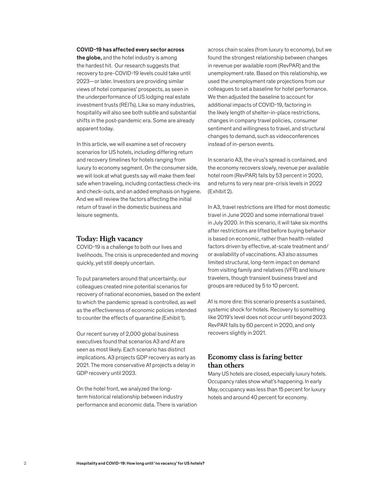#### COVID-19 has affected every sector across

the globe, and the hotel industry is among the hardest hit. Our research suggests that recovery to pre-COVID-19 levels could take until 2023—or later. Investors are providing similar views of hotel companies' prospects, as seen in the underperformance of US lodging real estate investment trusts (REITs). Like so many industries, hospitality will also see both subtle and substantial shifts in the post-pandemic era. Some are already apparent today.

In this article, we will examine a set of recovery scenarios for US hotels, including differing return and recovery timelines for hotels ranging from luxury to economy segment. On the consumer side, we will look at what guests say will make them feel safe when traveling, including contactless check-ins and check-outs, and an added emphasis on hygiene. And we will review the factors affecting the initial return of travel in the domestic business and leisure segments.

### **Today: High vacancy**

COVID-19 is a challenge to both our lives and livelihoods. The crisis is unprecedented and moving quickly, yet still deeply uncertain.

To put parameters around that uncertainty, our colleagues created nine potential scenarios for recovery of national economies, based on the extent to which the pandemic spread is controlled, as well as the effectiveness of economic policies intended to counter the effects of quarantine (Exhibit 1).

Our recent survey of 2,000 global business executives found that scenarios A3 and A1 are seen as most likely. Each scenario has distinct implications. A3 projects GDP recovery as early as 2021. The more conservative A1 projects a delay in GDP recovery until 2023.

On the hotel front, we analyzed the longterm historical relationship between industry performance and economic data. There is variation

across chain scales (from luxury to economy), but we found the strongest relationship between changes in revenue per available room (RevPAR) and the unemployment rate. Based on this relationship, we used the unemployment rate projections from our colleagues to set a baseline for hotel performance. We then adjusted the baseline to account for additional impacts of COVID-19, factoring in the likely length of shelter-in-place restrictions, changes in company travel policies, consumer sentiment and willingness to travel, and structural changes to demand, such as videoconferences instead of in-person events.

In scenario A3, the virus's spread is contained, and the economy recovers slowly, revenue per available hotel room (RevPAR) falls by 53 percent in 2020, and returns to very near pre-crisis levels in 2022 (Exhibit 2).

In A3, travel restrictions are lifted for most domestic travel in June 2020 and some international travel in July 2020. In this scenario, it will take six months after restrictions are lifted before buying behavior is based on economic, rather than health-related factors driven by effective, at-scale treatment and/ or availability of vaccinations. A3 also assumes limited structural, long-term impact on demand from visiting family and relatives (VFR) and leisure travelers, though transient business travel and groups are reduced by 5 to 10 percent.

A1 is more dire: this scenario presents a sustained, systemic shock for hotels. Recovery to something like 2019's level does not occur until beyond 2023. RevPAR falls by 60 percent in 2020, and only recovers slightly in 2021.

# **Economy class is faring better than others**

Many US hotels are closed, especially luxury hotels. Occupancy rates show what's happening. In early May, occupancy was less than 15 percent for luxury hotels and around 40 percent for economy.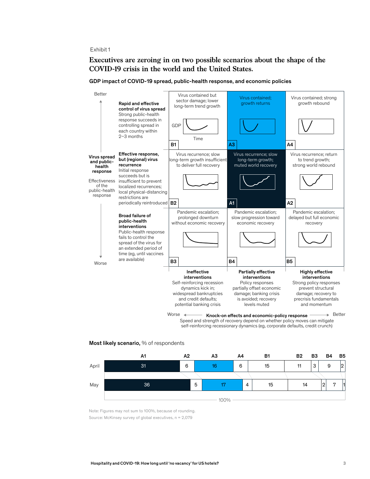# **Executives are zeroing in on two possible scenarios about the shape of the COVID-19 crisis in the world and the United States.**



GDP impact of COVID-19 spread, public-health response, and economic policies

Worse  $\begin{picture}(18,14) \put(0,0){\line(1,0){18}} \put(1,0){\line(1,0){18}} \put(1,0){\line(1,0){18}} \put(1,0){\line(1,0){18}} \put(1,0){\line(1,0){18}} \put(1,0){\line(1,0){18}} \put(1,0){\line(1,0){18}} \put(1,0){\line(1,0){18}} \put(1,0){\line(1,0){18}} \put(1,0){\line(1,0){18}} \put(1,0){\line(1,0){18}} \put(1,0){\line(1,0){18$ Speed and strength of recovery depend on whether policy moves can mitigate self-reinforcing recessionary dynamics (eg, corporate defaults, credit crunch)

#### Most likely scenario, % of respondents



 Note: Figures may not sum to 100%, because of rounding. Source: McKinsey survey of global executives, n = 2,079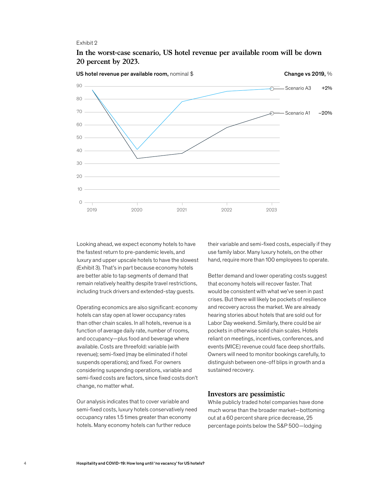## **In the worst-case scenario, US hotel revenue per available room will be down 20 percent by 2023.**



Looking ahead, we expect economy hotels to have the fastest return to pre-pandemic levels, and luxury and upper upscale hotels to have the slowest (Exhibit 3). That's in part because economy hotels are better able to tap segments of demand that remain relatively healthy despite travel restrictions, including truck drivers and extended-stay guests.

Operating economics are also significant: economy hotels can stay open at lower occupancy rates h than other chain scales. In all hotels, revenue is a function of average daily rate, number of rooms, and occupancy—plus food and beverage where available. Costs are threefold: variable (with revenue); semi-fixed (may be eliminated if hotel suspends operations); and fixed. For owners considering suspending operations, variable and semi-fixed costs are factors, since fixed costs don't change, no matter what.

Our analysis indicates that to cover variable and semi-fixed costs, luxury hotels conservatively need occupancy rates 1.5 times greater than economy hotels. Many economy hotels can further reduce

their variable and semi-fixed costs, especially if they use family labor. Many luxury hotels, on the other hand, require more than 100 employees to operate.

Better demand and lower operating costs suggest that economy hotels will recover faster. That would be consistent with what we've seen in past crises. But there will likely be pockets of resilience and recovery across the market. We are already hearing stories about hotels that are sold out for Labor Day weekend. Similarly, there could be air pockets in otherwise solid chain scales. Hotels reliant on meetings, incentives, conferences, and events (MICE) revenue could face deep shortfalls. Owners will need to monitor bookings carefully, to distinguish between one-off blips in growth and a sustained recovery.

## **Investors are pessimistic**

While publicly traded hotel companies have done much worse than the broader market—bottoming out at a 60 percent share price decrease, 25 percentage points below the S&P 500—lodging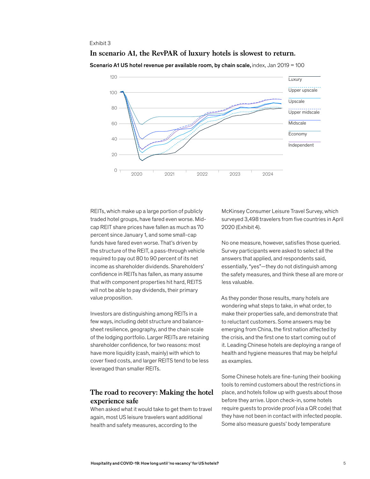## **In scenario A1, the RevPAR of luxury hotels is slowest to return.**



Scenario A1 US hotel revenue per available room, by chain scale, index, Jan 2019 = 100

REITs, which make up a large portion of publicly traded hotel groups, have fared even worse. Midcap REIT share prices have fallen as much as 70 percent since January 1, and some small-cap funds have fared even worse. That's driven by the structure of the REIT, a pass-through vehicle required to pay out 80 to 90 percent of its net income as shareholder dividends. Shareholders' confidence in REITs has fallen, as many assume that with component properties hit hard, REITS will not be able to pay dividends, their primary value proposition.

Investors are distinguishing among REITs in a few ways, including debt structure and balancesheet resilience, geography, and the chain scale of the lodging portfolio. Larger REITs are retaining shareholder confidence, for two reasons: most have more liquidity (cash, mainly) with which to cover fixed costs, and larger REITS tend to be less leveraged than smaller REITs.

# **The road to recovery: Making the hotel experience safe**

When asked what it would take to get them to travel again, most US leisure travelers want additional health and safety measures, according to the

McKinsey Consumer Leisure Travel Survey, which surveyed 3,498 travelers from five countries in April 2020 (Exhibit 4).

No one measure, however, satisfies those queried. Survey participants were asked to select all the answers that applied, and respondents said, essentially, "yes"—they do not distinguish among the safety measures, and think these all are more or less valuable.

As they ponder those results, many hotels are wondering what steps to take, in what order, to make their properties safe, and demonstrate that to reluctant customers. Some answers may be emerging from China, the first nation affected by the crisis, and the first one to start coming out of it. Leading Chinese hotels are deploying a range of health and hygiene measures that may be helpful as examples.

Some Chinese hotels are fine-tuning their booking tools to remind customers about the restrictions in place, and hotels follow up with guests about those before they arrive. Upon check-in, some hotels require guests to provide proof (via a QR code) that they have not been in contact with infected people. Some also measure guests' body temperature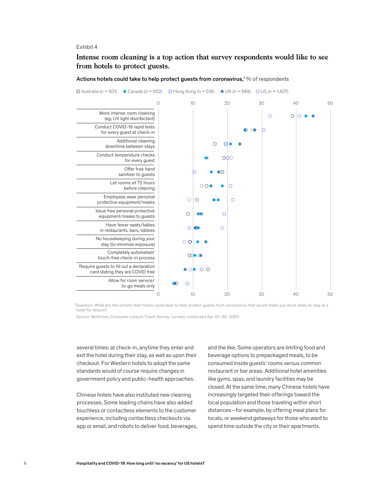# **Intense room cleaning is a top action that survey respondents would like to see from hotels to protect guests.**

Actions hotels could take to help protect guests from coronavirus,<sup>1</sup> % of respondents



1 Question: What are the actions that hotels could take to help protect guests from coronavirus that would make you more likely to stay at a hotel for leisure?

Source: McKinsey Consumer Leisure Travel Survey; surveys conducted Apr 10–30, 2020

several times: at check-in, anytime they enter and exit the hotel during their stay, as well as upon their checkout. For Western hotels to adopt the same standards would of course require changes in government policy and public-health approaches.

Chinese hotels have also instituted new cleaning processes. Some leading chains have also added touchless or contactless elements to the customer experience, including contactless checkouts via app or email, and robots to deliver food, beverages,

and the like. Some operators are limiting food and beverage options to prepackaged meals, to be consumed inside guests' rooms versus common restaurant or bar areas. Additional hotel amenities like gyms, spas, and laundry facilities may be closed. At the same time, many Chinese hotels have increasingly targeted their offerings toward the local population and those traveling within short distances—for example, by offering meal plans for locals, or weekend getaways for those who want to spend time outside the city or their apartments.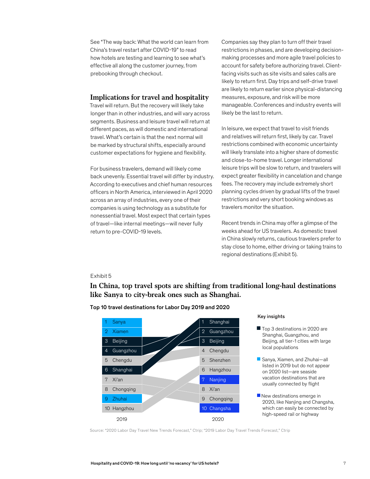See "The way back: What the world can learn from China's travel restart after COVID-19" to read how hotels are testing and learning to see what's effective all along the customer journey, from prebooking through checkout.

## **Implications for travel and hospitality**

Travel will return. But the recovery will likely take longer than in other industries, and will vary across segments. Business and leisure travel will return at different paces, as will domestic and international travel. What's certain is that the next normal will be marked by structural shifts, especially around customer expectations for hygiene and flexibility.

For business travelers, demand will likely come back unevenly. Essential travel will differ by industry. According to executives and chief human resources officers in North America, interviewed in April 2020 across an array of industries, every one of their companies is using technology as a substitute for nonessential travel. Most expect that certain types of travel—like internal meetings—will never fully return to pre-COVID-19 levels.

Companies say they plan to turn off their travel restrictions in phases, and are developing decisionmaking processes and more agile travel policies to account for safety before authorizing travel. Clientfacing visits such as site visits and sales calls are likely to return first. Day trips and self-drive travel are likely to return earlier since physical-distancing measures, exposure, and risk will be more manageable. Conferences and industry events will likely be the last to return.

In leisure, we expect that travel to visit friends and relatives will return first, likely by car. Travel restrictions combined with economic uncertainty will likely translate into a higher share of domestic and close-to-home travel. Longer international leisure trips will be slow to return, and travelers will expect greater flexibility in cancelation and change fees. The recovery may include extremely short planning cycles driven by gradual lifts of the travel restrictions and very short booking windows as travelers monitor the situation.

Recent trends in China may offer a glimpse of the weeks ahead for US travelers. As domestic travel in China slowly returns, cautious travelers prefer to stay close to home, either driving or taking trains to regional destinations (Exhibit 5).

#### Exhibit 5

**In China, top travel spots are shifting from traditional long-haul destinations like Sanya to city-break ones such as Shanghai.**



#### Top 10 travel destinations for Labor Day 2019 and 2020

#### Key insights

- Top 3 destinations in 2020 are Shanghai, Guangzhou, and Beijing, all tier-1 cities with large local populations
- Sanya, Xiamen, and Zhuhai-all listed in 2019 but do not appear on 2020 list—are seaside vacation destinations that are usually connected by flight
- New destinations emerge in 2020, like Nanjing and Changsha, which can easily be connected by high-speed rail or highway

Source: "2020 Labor Day Travel New Trends Forecast," Ctrip; "2019 Labor Day Travel Trends Forecast," Ctrip